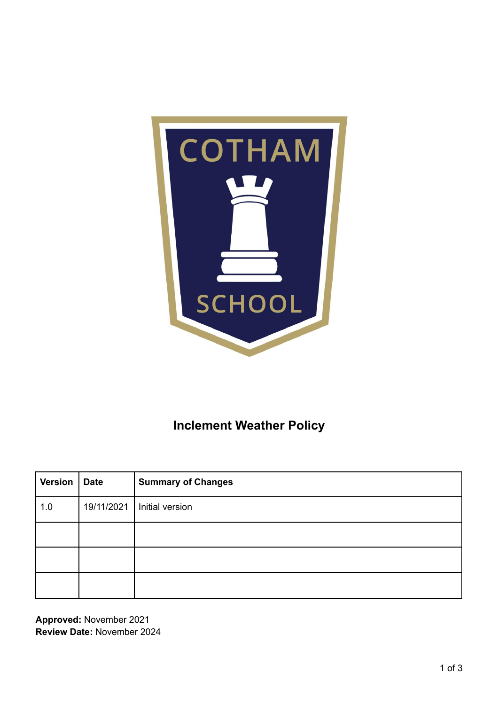

# **Inclement Weather Policy**

| <b>Version</b> | Date | <b>Summary of Changes</b>    |
|----------------|------|------------------------------|
| 1.0            |      | 19/11/2021   Initial version |
|                |      |                              |
|                |      |                              |
|                |      |                              |

**Approved:** November 2021 **Review Date:** November 2024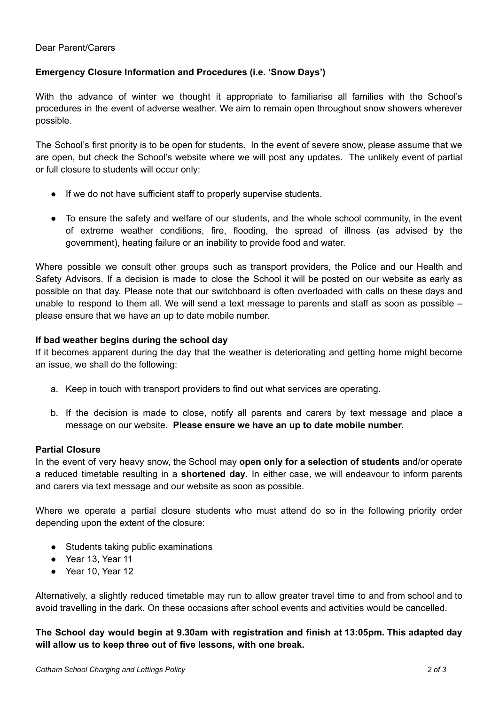## **Emergency Closure Information and Procedures (i.e. 'Snow Days')**

With the advance of winter we thought it appropriate to familiarise all families with the School's procedures in the event of adverse weather. We aim to remain open throughout snow showers wherever possible.

The School's first priority is to be open for students. In the event of severe snow, please assume that we are open, but check the School's website where we will post any updates. The unlikely event of partial or full closure to students will occur only:

- If we do not have sufficient staff to properly supervise students.
- To ensure the safety and welfare of our students, and the whole school community, in the event of extreme weather conditions, fire, flooding, the spread of illness (as advised by the government), heating failure or an inability to provide food and water.

Where possible we consult other groups such as transport providers, the Police and our Health and Safety Advisors. If a decision is made to close the School it will be posted on our website as early as possible on that day. Please note that our switchboard is often overloaded with calls on these days and unable to respond to them all. We will send a text message to parents and staff as soon as possible – please ensure that we have an up to date mobile number.

#### **If bad weather begins during the school day**

If it becomes apparent during the day that the weather is deteriorating and getting home might become an issue, we shall do the following:

- a. Keep in touch with transport providers to find out what services are operating.
- b. If the decision is made to close, notify all parents and carers by text message and place a message on our website. **Please ensure we have an up to date mobile number.**

#### **Partial Closure**

In the event of very heavy snow, the School may **open only for a selection of students** and/or operate a reduced timetable resulting in a **shortened day**. In either case, we will endeavour to inform parents and carers via text message and our website as soon as possible.

Where we operate a partial closure students who must attend do so in the following priority order depending upon the extent of the closure:

- Students taking public examinations
- Year 13, Year 11
- Year 10, Year 12

Alternatively, a slightly reduced timetable may run to allow greater travel time to and from school and to avoid travelling in the dark. On these occasions after school events and activities would be cancelled.

**The School day would begin at 9.30am with registration and finish at 13:05pm. This adapted day will allow us to keep three out of five lessons, with one break.**